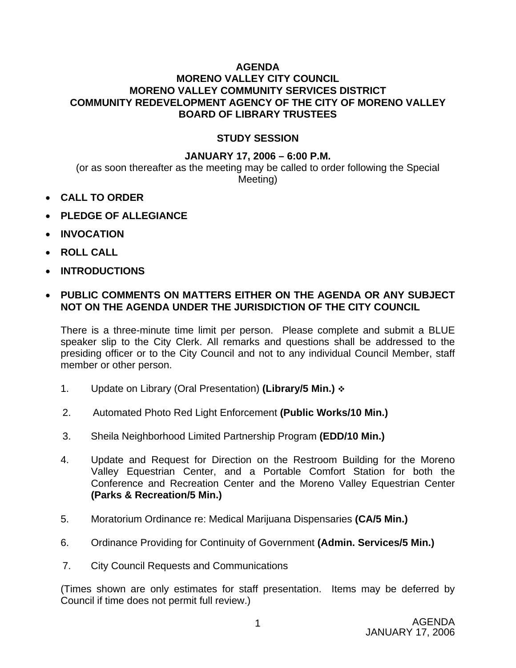# **AGENDA**

### **MORENO VALLEY CITY COUNCIL MORENO VALLEY COMMUNITY SERVICES DISTRICT COMMUNITY REDEVELOPMENT AGENCY OF THE CITY OF MORENO VALLEY BOARD OF LIBRARY TRUSTEES**

### **STUDY SESSION**

#### **JANUARY 17, 2006 – 6:00 P.M.**

(or as soon thereafter as the meeting may be called to order following the Special Meeting)

- **CALL TO ORDER**
- **PLEDGE OF ALLEGIANCE**
- **INVOCATION**
- **ROLL CALL**
- **INTRODUCTIONS**

#### • **PUBLIC COMMENTS ON MATTERS EITHER ON THE AGENDA OR ANY SUBJECT NOT ON THE AGENDA UNDER THE JURISDICTION OF THE CITY COUNCIL**

There is a three-minute time limit per person. Please complete and submit a BLUE speaker slip to the City Clerk. All remarks and questions shall be addressed to the presiding officer or to the City Council and not to any individual Council Member, staff member or other person.

- 1. Update on Library (Oral Presentation) **(Library/5 Min.)**
- 2. Automated Photo Red Light Enforcement **(Public Works/10 Min.)**
- 3. Sheila Neighborhood Limited Partnership Program **(EDD/10 Min.)**
- 4. Update and Request for Direction on the Restroom Building for the Moreno Valley Equestrian Center, and a Portable Comfort Station for both the Conference and Recreation Center and the Moreno Valley Equestrian Center **(Parks & Recreation/5 Min.)**
- 5. Moratorium Ordinance re: Medical Marijuana Dispensaries **(CA/5 Min.)**
- 6. Ordinance Providing for Continuity of Government **(Admin. Services/5 Min.)**
- 7. City Council Requests and Communications

(Times shown are only estimates for staff presentation. Items may be deferred by Council if time does not permit full review.)